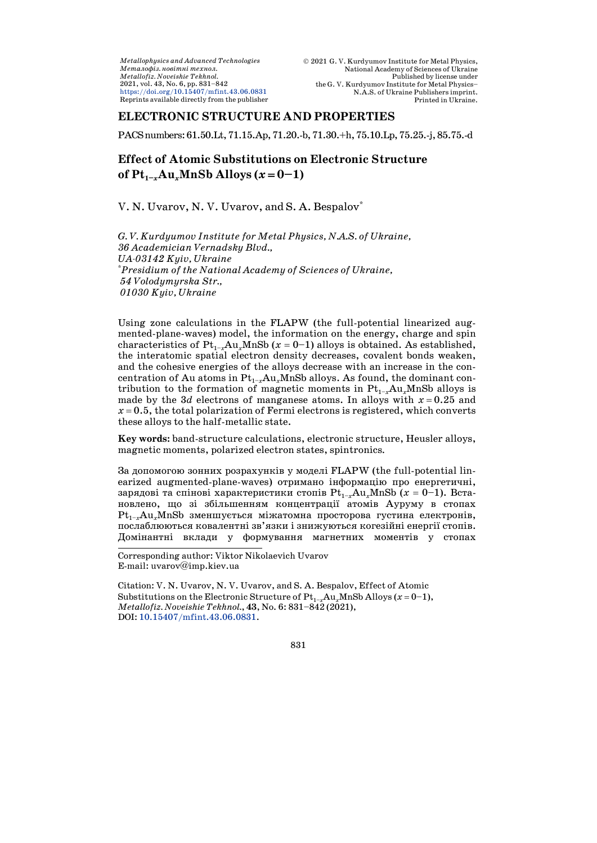*Metallophysics and Advanced Technologies*  $M$ еталофіз. новітні технол. *Metallofiz. Noveishie Tekhnol.* 2021, vol. 43, No. 6, pp. 831–842 <https://doi.org/10.15407/mfint.43.06.0831> Reprints available directly from the publisher

# **ELECTRONIC STRUCTURE AND PROPERTIES**

PACSnumbers:61.50.Lt,71.15.Ap,71.20.-b,71.30.+h,75.10.Lp,75.25.-j,85.75.-d

# **Effect of Atomic Substitutions on Electronic Structure of**  $Pt_{1-x}Au_xMnSb$  Alloys ( $x=0-1$ )

V. N. Uvarov, N. V. Uvarov, and S. A. Bespalov\*

*G. V. Kurdyumov Institute for Metal Physics, N.A.S. of Ukraine, 36 Academician Vernadsky Blvd., UA-03142 Kyiv, Ukraine* \**Presidium of the National Academy of Sciences of Ukraine, 54 Volodymyrska Str., 01030 Kyiv, Ukraine*

Using zone calculations in the FLAPW (the full-potential linearized augmented-plane-waves) model, the information on the energy, charge and spin characteristics of  $Pt_{1-x}Au_xMnSb$  ( $x = 0-1$ ) alloys is obtained. As established, the interatomic spatial electron density decreases, covalent bonds weaken, and the cohesive energies of the alloys decrease with an increase in the concentration of Au atoms in  $Pt_{1-x}Au_xMnSb$  alloys. As found, the dominant contribution to the formation of magnetic moments in  $Pt_{1-x}Au_xMnSb$  alloys is made by the 3*d* electrons of manganese atoms. In alloys with  $x = 0.25$  and  $x = 0.5$ , the total polarization of Fermi electrons is registered, which converts these alloys to the half-metallic state.

**Key words:** band-structure calculations, electronic structure, Heusler alloys, magnetic moments, polarized electron states, spintronics*.*

За допомогою зонних розрахунків у моделі FLAPW (the full-potential linearized augmented-plane-waves) отримано інформацію про енергетичні, зарядові та спінові характеристики стопів  $Pt_{1-x}Au_xMnSb$  ( $x = 0-1$ ). Встановлено, що зі збільшенням концентрації атомів Ауруму в стопах Pt<sub>1-x</sub>Au<sub>x</sub>MnSb зменшується міжатомна просторова густина електронів, послаблюються ковалентні зв'язки і знижуються когезійні енергії стопів. Домінантні вклади у формування магнетних моментів у стопах

Corresponding author: Viktor Nikolaevich Uvarov E-mail: [uvarov@imp.kiev.ua](mailto:uvarov@imp.kiev.ua)

j

Citation: V. N. Uvarov, N. V. Uvarov, and S. A. Bespalov, Effect of Atomic Substitutions on the Electronic Structure of  $Pt_{1-x}Au_xMnSb$  Alloys ( $x=0-1$ ), *Metallofiz. Noveishie Tekhnol.*, **43**, No. 6: 831–842 (2021), DOI: [10.15407/mfint.43.06.0831.](https://doi.org/10.15407/mfint.43.06.0831)

831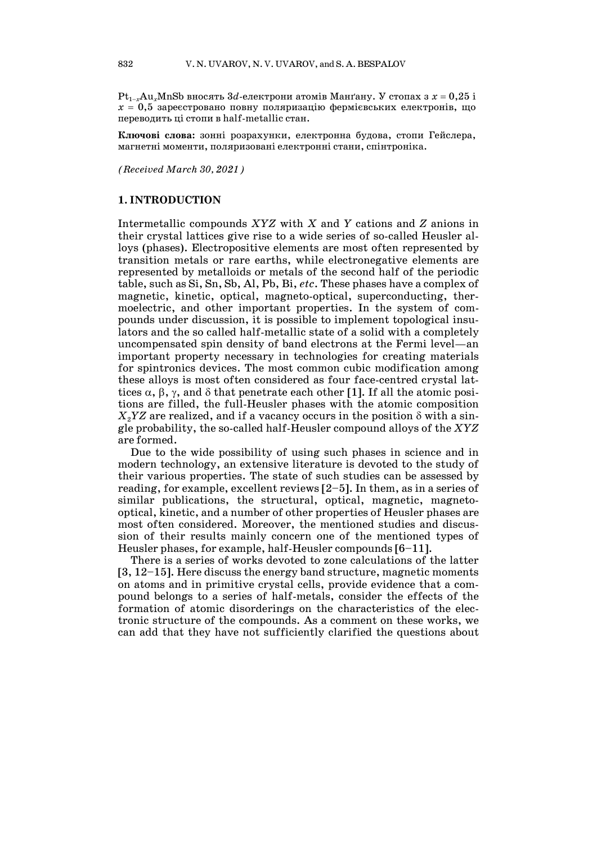$Pt_{1-x}Au_xMnSb$  вносять  $3d$ -електрони атомів Манґану. У стопах з  $x = 0.25$  і  $x = 0.5$  зареєстровано повну поляризацію фермієвських електронів, що переводить ці стопи в half-metallic стан.

**Ключові слова:** зонні розрахунки, електронна будова, стопи Гейслера, магнетні моменти, поляризовані електронні стани, спінтроніка.

*(Received March 30, 2021)*

#### **1. INTRODUCTION**

Intermetallic compounds *XYZ* with *X* and *Y* cations and *Z* anions in their crystal lattices give rise to a wide series of so-called Heusler alloys (phases). Electropositive elements are most often represented by transition metals or rare earths, while electronegative elements are represented by metalloids or metals of the second half of the periodic table, such as Si, Sn, Sb, Al, Pb, Bi, *etc*. These phases have a complex of magnetic, kinetic, optical, magneto-optical, superconducting, thermoelectric, and other important properties. In the system of compounds under discussion, it is possible to implement topological insulators and the so called half-metallic state of a solid with a completely uncompensated spin density of band electrons at the Fermi level—an important property necessary in technologies for creating materials for spintronics devices. The most common cubic modification among these alloys is most often considered as four face-centred crystal lattices  $\alpha$ ,  $\beta$ ,  $\gamma$ , and  $\delta$  that penetrate each other [1]. If all the atomic positions are filled, the full-Heusler phases with the atomic composition  $X_2$ *YZ* are realized, and if a vacancy occurs in the position  $\delta$  with a single probability, the so-called half-Heusler compound alloys of the *XYZ* are formed.

Due to the wide possibility of using such phases in science and in modern technology, an extensive literature is devoted to the study of their various properties. The state of such studies can be assessed by reading, for example, excellent reviews [2–5]. In them, as in a series of similar publications, the structural, optical, magnetic, magnetooptical, kinetic, and a number of other properties of Heusler phases are most often considered. Moreover, the mentioned studies and discussion of their results mainly concern one of the mentioned types of Heusler phases, for example, half-Heusler compounds [6–11].

There is a series of works devoted to zone calculations of the latter [3, 12–15]. Here discuss the energy band structure, magnetic moments on atoms and in primitive crystal cells, provide evidence that a compound belongs to a series of half-metals, consider the effects of the formation of atomic disorderings on the characteristics of the electronic structure of the compounds. As a comment on these works, we can add that they have not sufficiently clarified the questions about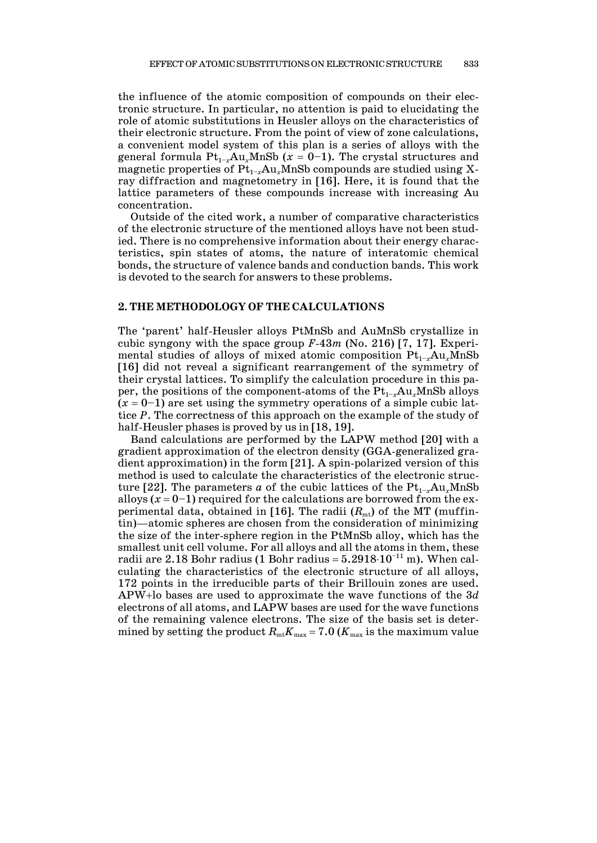the influence of the atomic composition of compounds on their electronic structure. In particular, no attention is paid to elucidating the role of atomic substitutions in Heusler alloys on the characteristics of their electronic structure. From the point of view of zone calculations, a convenient model system of this plan is a series of alloys with the general formula  $Pt_{1-x}Au_xMnSb$  ( $x = 0-1$ ). The crystal structures and magnetic properties of  $Pt_{1-x}Au_xMnSb$  compounds are studied using Xray diffraction and magnetometry in [16]. Here, it is found that the lattice parameters of these compounds increase with increasing Au concentration.

Outside of the cited work, a number of comparative characteristics of the electronic structure of the mentioned alloys have not been studied. There is no comprehensive information about their energy characteristics, spin states of atoms, the nature of interatomic chemical bonds, the structure of valence bands and conduction bands. This work is devoted to the search for answers to these problems.

#### **2. THE METHODOLOGY OF THE CALCULATIONS**

The 'parent' half-Heusler alloys PtMnSb and AuMnSb crystallize in cubic syngony with the space group *F*-43*m* (No. 216) [7, 17]. Experimental studies of alloys of mixed atomic composition  $Pt_{1-x}Au_xMnSb$ [16] did not reveal a significant rearrangement of the symmetry of their crystal lattices. To simplify the calculation procedure in this paper, the positions of the component-atoms of the  $Pt_{1-x}Au_xMnSb$  alloys  $(x = 0-1)$  are set using the symmetry operations of a simple cubic lattice *P*. The correctness of this approach on the example of the study of half-Heusler phases is proved by us in [18, 19].

Band calculations are performed by the LAPW method [20] with a gradient approximation of the electron density (GGA-generalized gradient approximation) in the form [21]. A spin-polarized version of this method is used to calculate the characteristics of the electronic structure [22]. The parameters *a* of the cubic lattices of the  $Pt_{1-x}Au_xMnSb$ alloys  $(x = 0-1)$  required for the calculations are borrowed from the experimental data, obtained in [16]. The radii  $(R<sub>mt</sub>)$  of the MT (muffintin)—atomic spheres are chosen from the consideration of minimizing the size of the inter-sphere region in the PtMnSb alloy, which has the smallest unit cell volume. For all alloys and all the atoms in them, these radii are 2.18 Bohr radius (1 Bohr radius =  $5.2918 \cdot 10^{-11}$  m). When calculating the characteristics of the electronic structure of all alloys, 172 points in the irreducible parts of their Brillouin zones are used. APW<sup>+</sup>lo bases are used to approximate the wave functions of the 3*d* electrons of all atoms, and LAPW bases are used for the wave functions of the remaining valence electrons. The size of the basis set is determined by setting the product  $R_{\textrm{\tiny{mt}}}K_{\textrm{\tiny{max}}} = 7.0$  ( $K_{\textrm{\tiny{max}}}$  is the maximum value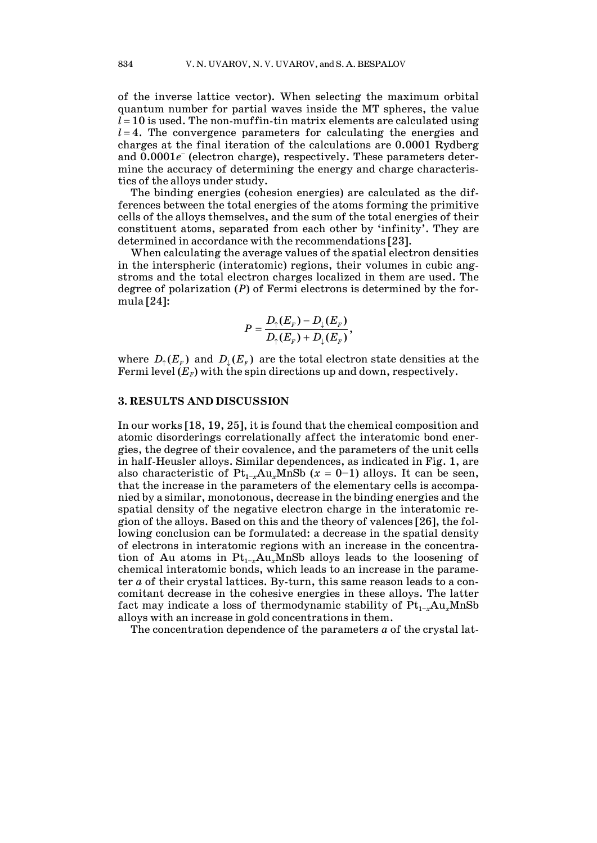of the inverse lattice vector). When selecting the maximum orbital quantum number for partial waves inside the MT spheres, the value  $l = 10$  is used. The non-muffin-tin matrix elements are calculated using  $l = 4$ . The convergence parameters for calculating the energies and charges at the final iteration of the calculations are 0.0001 Rydberg and  $0.0001e^-$  (electron charge), respectively. These parameters determine the accuracy of determining the energy and charge characteristics of the alloys under study.

The binding energies (cohesion energies) are calculated as the differences between the total energies of the atoms forming the primitive cells of the alloys themselves, and the sum of the total energies of their constituent atoms, separated from each other by 'infinity'. They are determined in accordance with the recommendations [23].

When calculating the average values of the spatial electron densities in the interspheric (interatomic) regions, their volumes in cubic angstroms and the total electron charges localized in them are used. The degree of polarization (*P*) of Fermi electrons is determined by the formula [24]:

$$
P=\frac{D_{\uparrow}(E_{F})-D_{\downarrow}(E_{F})}{D_{\uparrow}(E_{F})+D_{\downarrow}(E_{F})},
$$

where  $D_{\uparrow}(E_{\scriptscriptstyle F})$  and  $D_{\scriptscriptstyle \downarrow}(E_{\scriptscriptstyle F})$  are the total electron state densities at the Fermi level  $(E_F)$  with the spin directions up and down, respectively.

## **3. RESULTS AND DISCUSSION**

In our works [18, 19, 25], it is found that the chemical composition and atomic disorderings correlationally affect the interatomic bond energies, the degree of their covalence, and the parameters of the unit cells in half-Heusler alloys. Similar dependences, as indicated in Fig. 1, are also characteristic of  $Pt_{1-x}Au_xMnSb$  ( $x = 0-1$ ) alloys. It can be seen, that the increase in the parameters of the elementary cells is accompanied by a similar, monotonous, decrease in the binding energies and the spatial density of the negative electron charge in the interatomic region of the alloys. Based on this and the theory of valences [26], the following conclusion can be formulated: a decrease in the spatial density of electrons in interatomic regions with an increase in the concentration of Au atoms in  $Pt_{1-x}Au_xMnSb$  alloys leads to the loosening of chemical interatomic bonds, which leads to an increase in the parameter *a* of their crystal lattices. By-turn, this same reason leads to a concomitant decrease in the cohesive energies in these alloys. The latter fact may indicate a loss of thermodynamic stability of  $Pt_{1-x}Au_xMnSb$ alloys with an increase in gold concentrations in them.

The concentration dependence of the parameters *a* of the crystal lat-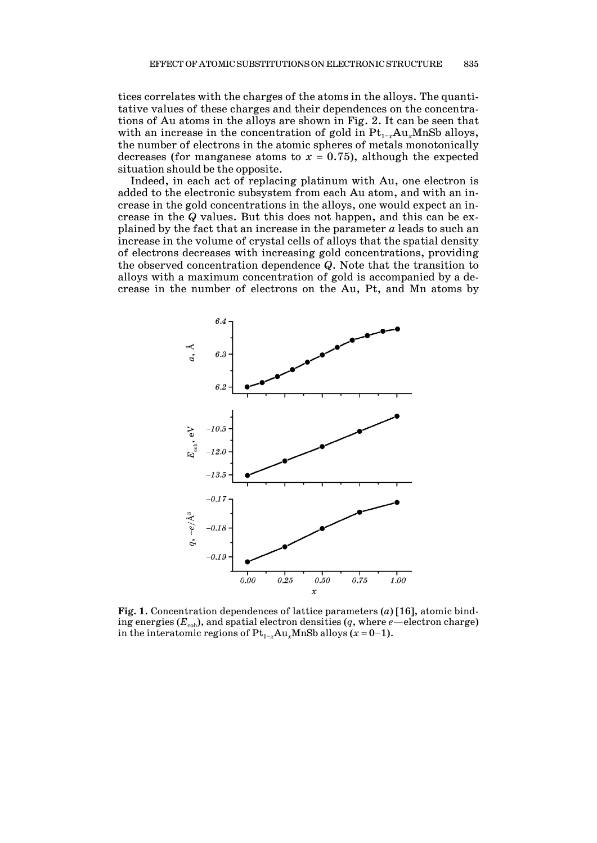tices correlates with the charges of the atoms in the alloys. The quantitative values of these charges and their dependences on the concentrations of Au atoms in the alloys are shown in Fig. 2. It can be seen that with an increase in the concentration of gold in  $Pt_{1-x}Au_xMnSb$  alloys, the number of electrons in the atomic spheres of metals monotonically decreases (for manganese atoms to  $x = 0.75$ ), although the expected situation should be the opposite.

Indeed, in each act of replacing platinum with Au, one electron is added to the electronic subsystem from each Au atom, and with an increase in the gold concentrations in the alloys, one would expect an increase in the *Q* values. But this does not happen, and this can be explained by the fact that an increase in the parameter *a* leads to such an increase in the volume of crystal cells of alloys that the spatial density of electrons decreases with increasing gold concentrations, providing the observed concentration dependence *Q*. Note that the transition to alloys with a maximum concentration of gold is accompanied by a decrease in the number of electrons on the Au, Pt, and Mn atoms by



**Fig. 1**. Concentration dependences of lattice parameters (*a*) [16], atomic binding energies  $(E_{coh})$ , and spatial electron densities  $(q,$  where  $e$ —electron charge) in the interatomic regions of  $Pt_{1-x}Au_xMnSb$  alloys ( $x = 0-1$ ).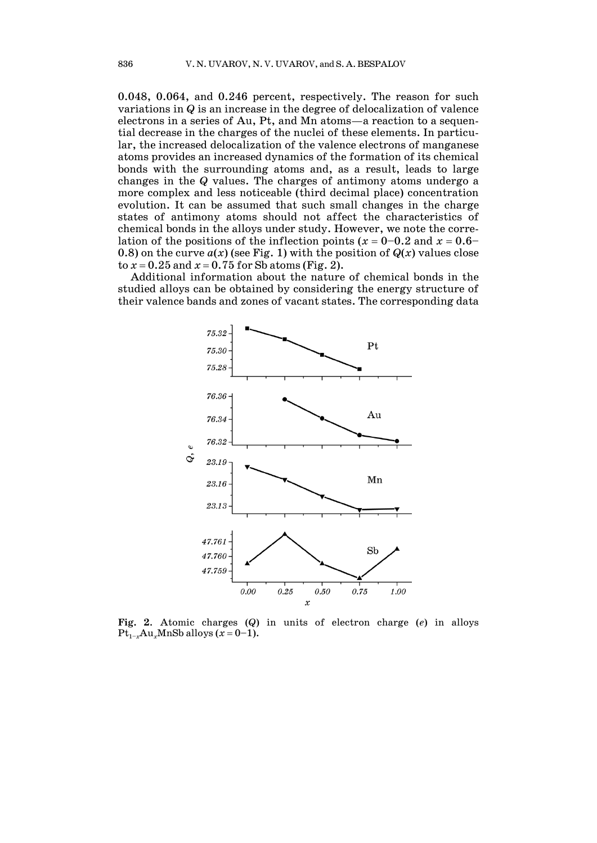0.048, 0.064, and 0.246 percent, respectively. The reason for such variations in *Q* is an increase in the degree of delocalization of valence electrons in a series of Au, Pt, and Mn atoms—a reaction to a sequential decrease in the charges of the nuclei of these elements. In particular, the increased delocalization of the valence electrons of manganese atoms provides an increased dynamics of the formation of its chemical bonds with the surrounding atoms and, as a result, leads to large changes in the *Q* values. The charges of antimony atoms undergo a more complex and less noticeable (third decimal place) concentration evolution. It can be assumed that such small changes in the charge states of antimony atoms should not affect the characteristics of chemical bonds in the alloys under study. However, we note the correlation of the positions of the inflection points ( $x = 0-0.2$  and  $x = 0.6-$ 0.8) on the curve  $a(x)$  (see Fig. 1) with the position of  $Q(x)$  values close to  $x = 0.25$  and  $x = 0.75$  for Sb atoms (Fig. 2).

Additional information about the nature of chemical bonds in the studied alloys can be obtained by considering the energy structure of their valence bands and zones of vacant states. The corresponding data



**Fig. 2**. Atomic charges (*Q*) in units of electron charge (*e*) in alloys  $Pt_{1-x}Au_xMnSb$  alloys  $(x=0-1)$ .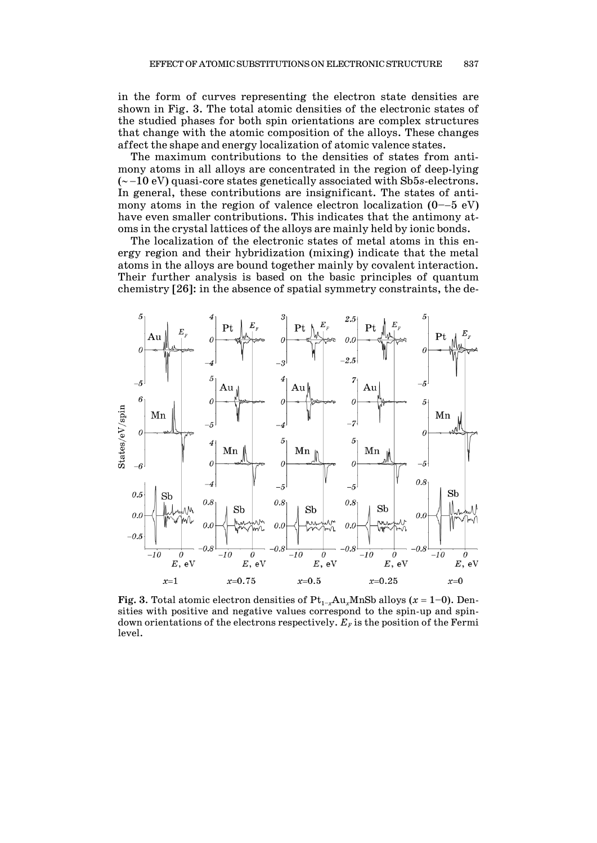in the form of curves representing the electron state densities are shown in Fig. 3. The total atomic densities of the electronic states of the studied phases for both spin orientations are complex structures that change with the atomic composition of the alloys. These changes affect the shape and energy localization of atomic valence states.

The maximum contributions to the densities of states from antimony atoms in all alloys are concentrated in the region of deep-lying  $(-10 \text{ eV})$  quasi-core states genetically associated with Sb5s-electrons. In general, these contributions are insignificant. The states of antimony atoms in the region of valence electron localization  $(0-5 \text{ eV})$ have even smaller contributions. This indicates that the antimony atoms in the crystal lattices of the alloys are mainly held by ionic bonds.

The localization of the electronic states of metal atoms in this energy region and their hybridization (mixing) indicate that the metal atoms in the alloys are bound together mainly by covalent interaction. Their further analysis is based on the basic principles of quantum chemistry [26]: in the absence of spatial symmetry constraints, the de-



**Fig.** 3. Total atomic electron densities of  $Pt_{1-x}Au_xMnSb$  alloys ( $x = 1-0$ ). Densities with positive and negative values correspond to the spin-up and spindown orientations of the electrons respectively.  $E_{\rm \scriptscriptstyle F}$  is the position of the Fermi level.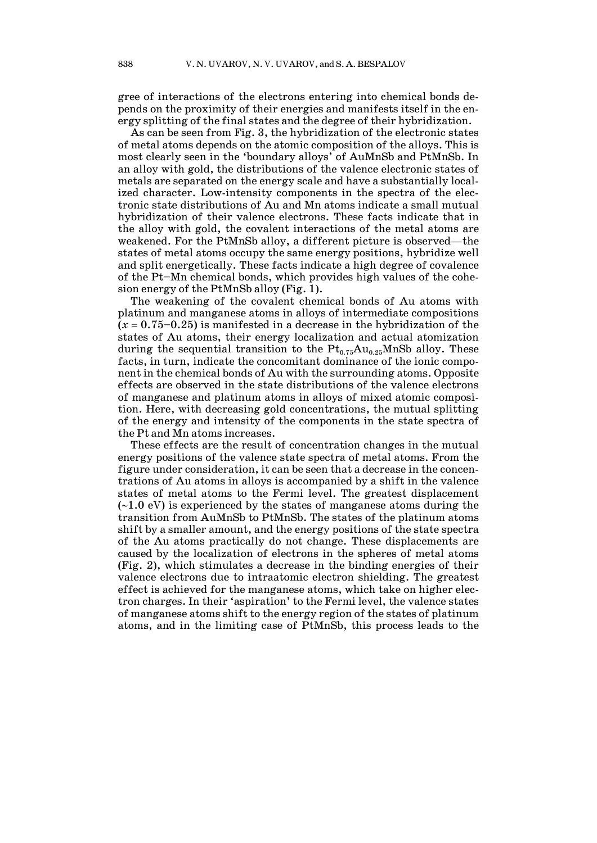gree of interactions of the electrons entering into chemical bonds depends on the proximity of their energies and manifests itself in the energy splitting of the final states and the degree of their hybridization.

As can be seen from Fig. 3, the hybridization of the electronic states of metal atoms depends on the atomic composition of the alloys. This is most clearly seen in the 'boundary alloys' of AuMnSb and PtMnSb. In an alloy with gold, the distributions of the valence electronic states of metals are separated on the energy scale and have a substantially localized character. Low-intensity components in the spectra of the electronic state distributions of Au and Mn atoms indicate a small mutual hybridization of their valence electrons. These facts indicate that in the alloy with gold, the covalent interactions of the metal atoms are weakened. For the PtMnSb alloy, a different picture is observed—the states of metal atoms occupy the same energy positions, hybridize well and split energetically. These facts indicate a high degree of covalence of the Pt–Mn chemical bonds, which provides high values of the cohesion energy of the PtMnSb alloy (Fig. 1).

The weakening of the covalent chemical bonds of Au atoms with platinum and manganese atoms in alloys of intermediate compositions  $(x = 0.75 - 0.25)$  is manifested in a decrease in the hybridization of the states of Au atoms, their energy localization and actual atomization during the sequential transition to the  $Pt_{0.75}Au_{0.25}MnSb$  alloy. These facts, in turn, indicate the concomitant dominance of the ionic component in the chemical bonds of Au with the surrounding atoms. Opposite effects are observed in the state distributions of the valence electrons of manganese and platinum atoms in alloys of mixed atomic composition. Here, with decreasing gold concentrations, the mutual splitting of the energy and intensity of the components in the state spectra of the Pt and Mn atoms increases.

These effects are the result of concentration changes in the mutual energy positions of the valence state spectra of metal atoms. From the figure under consideration, it can be seen that a decrease in the concentrations of Au atoms in alloys is accompanied by a shift in the valence states of metal atoms to the Fermi level. The greatest displacement  $(-1.0 \text{ eV})$  is experienced by the states of manganese atoms during the transition from AuMnSb to PtMnSb. The states of the platinum atoms shift by a smaller amount, and the energy positions of the state spectra of the Au atoms practically do not change. These displacements are caused by the localization of electrons in the spheres of metal atoms (Fig. 2), which stimulates a decrease in the binding energies of their valence electrons due to intraatomic electron shielding. The greatest effect is achieved for the manganese atoms, which take on higher electron charges. In their 'aspiration' to the Fermi level, the valence states of manganese atoms shift to the energy region of the states of platinum atoms, and in the limiting case of PtMnSb, this process leads to the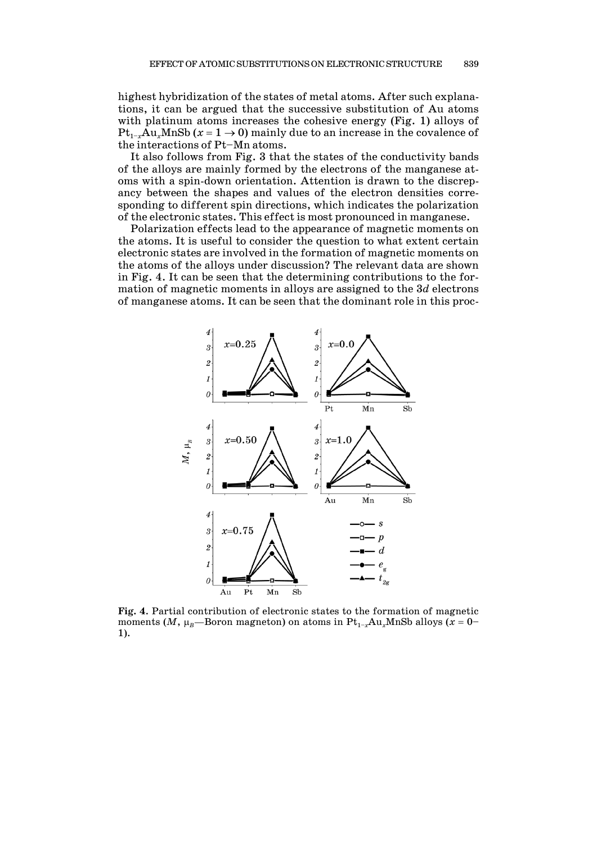highest hybridization of the states of metal atoms. After such explanations, it can be argued that the successive substitution of Au atoms with platinum atoms increases the cohesive energy (Fig. 1) alloys of  $Pt_{1-x}Au_xMnSb$  ( $x = 1 \rightarrow 0$ ) mainly due to an increase in the covalence of the interactions of Pt–Mn atoms.

It also follows from Fig. 3 that the states of the conductivity bands of the alloys are mainly formed by the electrons of the manganese atoms with a spin-down orientation. Attention is drawn to the discrepancy between the shapes and values of the electron densities corresponding to different spin directions, which indicates the polarization of the electronic states. This effect is most pronounced in manganese.

Polarization effects lead to the appearance of magnetic moments on the atoms. It is useful to consider the question to what extent certain electronic states are involved in the formation of magnetic moments on the atoms of the alloys under discussion? The relevant data are shown in Fig. 4. It can be seen that the determining contributions to the formation of magnetic moments in alloys are assigned to the 3*d* electrons of manganese atoms. It can be seen that the dominant role in this proc-



**Fig. 4**. Partial contribution of electronic states to the formation of magnetic moments (*M*,  $\mu_B$ —Boron magneton) on atoms in  $Pt_{1-x}Au_xMnSb$  alloys ( $x = 0$ – 1).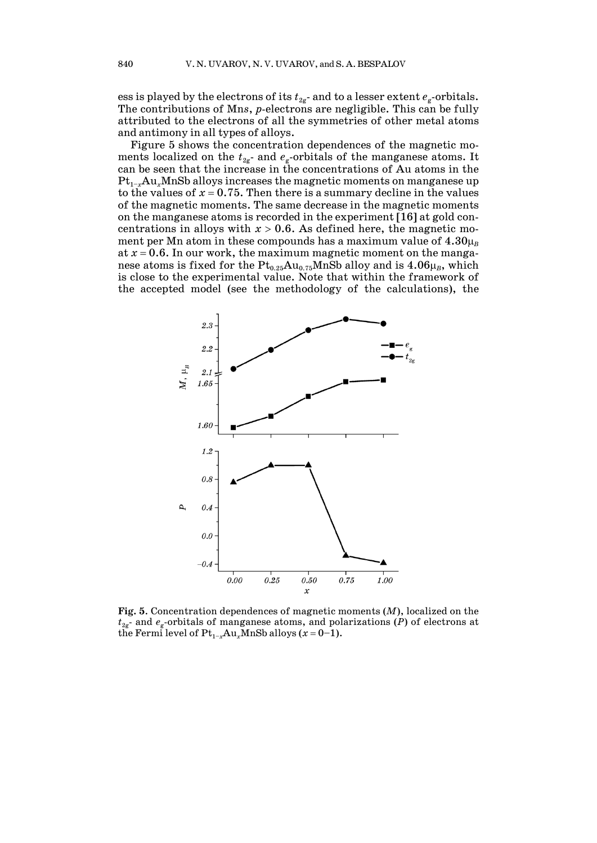ess is played by the electrons of its  $t_{\text{2g}}$ - and to a lesser extent  $e_{\text{g}}$ -orbitals. The contributions of Mn*s*, *p*-electrons are negligible. This can be fully attributed to the electrons of all the symmetries of other metal atoms and antimony in all types of alloys.

Figure 5 shows the concentration dependences of the magnetic moments localized on the  $t_{\textit{2g}}$ - and  $e_{\textit{g}}$ -orbitals of the manganese atoms. It can be seen that the increase in the concentrations of Au atoms in the  $Pt_{1-x}Au_xMnSb$  alloys increases the magnetic moments on manganese up to the values of  $x = 0.75$ . Then there is a summary decline in the values of the magnetic moments. The same decrease in the magnetic moments on the manganese atoms is recorded in the experiment [16] at gold concentrations in alloys with  $x > 0.6$ . As defined here, the magnetic moment per Mn atom in these compounds has a maximum value of  $4.30<sub>B</sub>$ at  $x = 0.6$ . In our work, the maximum magnetic moment on the manganese atoms is fixed for the  $\mathrm{Pt_{0.25}Au_{0.75}MnSb}$  alloy and is  $4.06\mu_{\scriptscriptstyle B}$ , which is close to the experimental value. Note that within the framework of the accepted model (see the methodology of the calculations), the



**Fig. 5**. Concentration dependences of magnetic moments (*M*), localized on the *t*2g - and *e*<sup>g</sup> -orbitals of manganese atoms, and polarizations (*P*) of electrons at the Fermi level of  $Pt_{1-x}Au_xMnSb$  alloys  $(x=0-1)$ .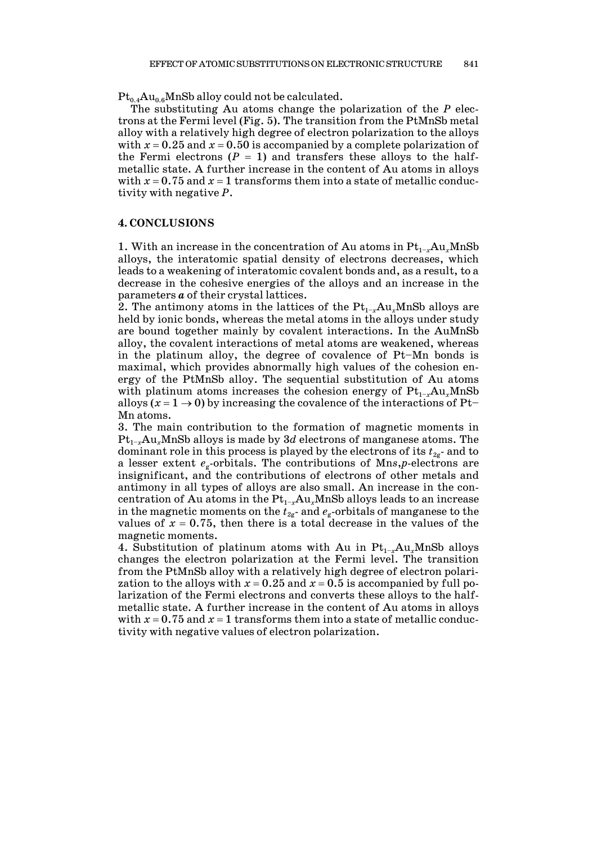$Pt_{0.4}Au_{0.6}MnSb$  alloy could not be calculated.

The substituting Au atoms change the polarization of the *P* electrons at the Fermi level (Fig. 5). The transition from the PtMnSb metal alloy with a relatively high degree of electron polarization to the alloys with  $x = 0.25$  and  $x = 0.50$  is accompanied by a complete polarization of the Fermi electrons  $(P = 1)$  and transfers these alloys to the halfmetallic state. A further increase in the content of Au atoms in alloys with  $x = 0.75$  and  $x = 1$  transforms them into a state of metallic conductivity with negative *P*.

#### **4. CONCLUSIONS**

1. With an increase in the concentration of Au atoms in  $Pt_{1-x}Au_xMnSb$ alloys, the interatomic spatial density of electrons decreases, which leads to a weakening of interatomic covalent bonds and, as a result, to a decrease in the cohesive energies of the alloys and an increase in the parameters *a* of their crystal lattices.

2. The antimony atoms in the lattices of the  $Pt_{1-x}Au_xMnSb$  alloys are held by ionic bonds, whereas the metal atoms in the alloys under study are bound together mainly by covalent interactions. In the AuMnSb alloy, the covalent interactions of metal atoms are weakened, whereas in the platinum alloy, the degree of covalence of Pt–Mn bonds is maximal, which provides abnormally high values of the cohesion energy of the PtMnSb alloy. The sequential substitution of Au atoms with platinum atoms increases the cohesion energy of  $Pt_{1-x}Au_xMnSb$ alloys  $(x = 1 \rightarrow 0)$  by increasing the covalence of the interactions of Pt-Mn atoms.

3. The main contribution to the formation of magnetic moments in  $Pt_{1-x}Au_xMnSb$  alloys is made by 3*d* electrons of manganese atoms. The dominant role in this process is played by the electrons of its  $t_{\rm 2g}$ - and to a lesser extent *e*<sup>g</sup> -orbitals. The contributions of Mn*s*,*p*-electrons are insignificant, and the contributions of electrons of other metals and antimony in all types of alloys are also small. An increase in the concentration of Au atoms in the  $Pt_{1-x}Au_xMnSb$  alloys leads to an increase in the magnetic moments on the  $t_{\rm 2g}$ - and  $e_{\rm g}$ -orbitals of manganese to the values of  $x = 0.75$ , then there is a total decrease in the values of the magnetic moments.

4. Substitution of platinum atoms with Au in  $Pt_{1-x}Au_xMnSb$  alloys changes the electron polarization at the Fermi level. The transition from the PtMnSb alloy with a relatively high degree of electron polarization to the alloys with  $x = 0.25$  and  $x = 0.5$  is accompanied by full polarization of the Fermi electrons and converts these alloys to the halfmetallic state. A further increase in the content of Au atoms in alloys with  $x = 0.75$  and  $x = 1$  transforms them into a state of metallic conductivity with negative values of electron polarization.